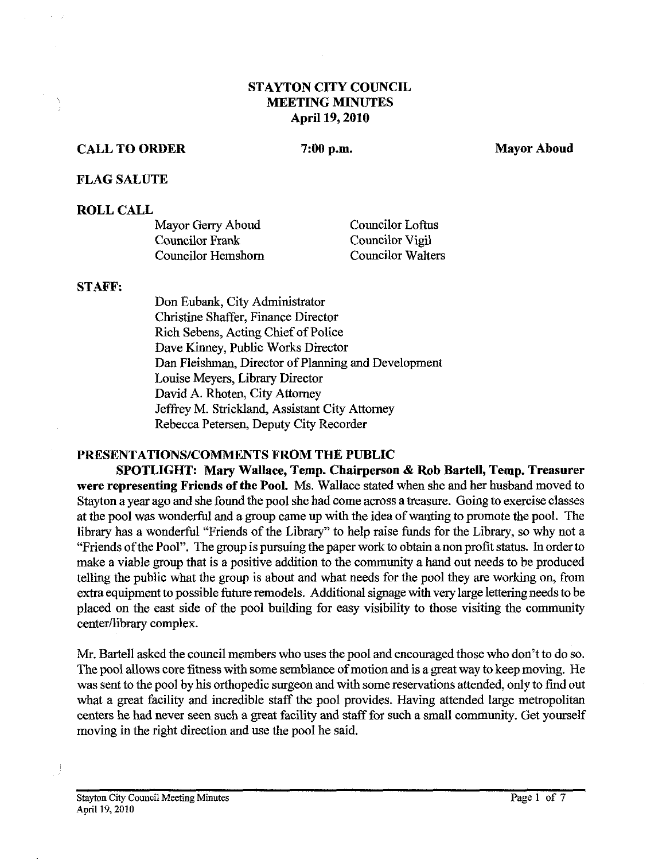## **STAYTON CITY COUNCIL MEETING MINUTES April 19,2010**

# **CALL TO ORDER**

 $7:00$  p.m.

**Mayor Aboud** 

### **FLAG SALUTE**

## **ROLL CALL**

| Mayor Gerry Aboud  | <b>Councilor Loftus</b>  |
|--------------------|--------------------------|
| Councilor Frank    | Councilor Vigil          |
| Councilor Hemshorn | <b>Councilor Walters</b> |

#### **STAFF:**

Don Eubank, City Administrator Christine Shaffer, Finance Director Rich Sebens, Acting Chief of Police Dave Kinney, Public Works Director Dan Fleishman, Director of Planning and Development Louise Meyers, Library Director David A. Rhoten, City Attorney Jeffrey M. Strickland, Assistant City Attorney Rebecca Petersen, Deputy City Recorder

## **PRESENTATIONSICOMMENTS FROM THE PUBLIC**

**SPOTLIGHT: Mary Wallace, Temp. Chairperson** & **Rob Bartell, Temp. Treasurer were representing Friends of the Pool.** Ms. Wallace stated when she and her husband moved to Stayton a year ago and she found the pool she had come across **a** treasure. Going to exercise classes at the pool was wonderful and a group came up with the idea of wanting to promote the pool. The library has a wonderful "Friends of the Library" to help raise fimds for the Library, so why not a "Friends of the Pool". The group is pursuing the paper work to obtain anon profit status. In order to make a viable group that is a positive addition to the community a hand out needs to be produced telling the public what the group is about and what needs for the pool they are working on, from extra equipment to possible future remodels. Additional signage with very large lettering needs to be placed on the east side of the pool building for easy visibility to those visiting the community center/library complex.

Mr. Bartell asked the council members who uses the pool and encouraged those who don't to do so. The pool allows core fitness with some semblance of motion and is a great way to keep moving. He was sent to the pool by his orthopedic surgeon and with some reservations attended, only to find out what a great facility and incredible staff the pool provides. Having attended large metropolitan centers he had never seen such a great facility and staff for such a small community. Get yourself moving in the right direction and use the pool he said.

 $\frac{1}{2}$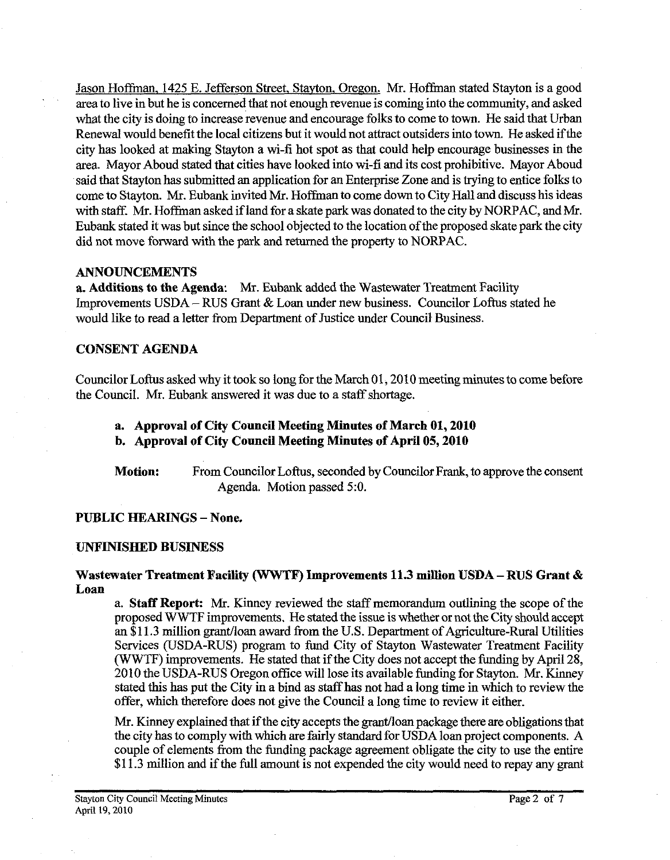Jason Hoffman, 1425 E. Jefferson Street, Stayton. Oregon. Mr. Hoffman stated Stayton is a good area to live in but he is concerned that not enough revenue is coming into the community, and asked what the city is doing to increase revenue and encourage folks to come to town. He said that Urban Renewal would benefit the local citizens but it would not attract outsiders into town. He asked ifthe city has looked at making Stayton a wi-fi hot spot as that could help encourage businesses in the area. Mayor Aboud stated that cities have looked into wi-fi and its cost prohibitive. Mayor Aboud said that Stayton has submitted an application for an Enterprise Zone and is trying to entice folks to come to Stayton. Mr. Eubank invited Mr. Hoffman to come down to City Hall and discuss his ideas with staff. Mr. Hoffman asked if land for a skate park was donated to the city by NORPAC, and Mr. Eubank stated it was but since the school objected to the location of the proposed skate park the city did not move forward with the park and returned the property *to* NORPAC.

#### **ANNOUNCEMENTS**

**a. Additions to the Agenda:** Mr. Eubank added the Wastewater Treatment Facility Improvements USDA - RUS Grant & Loan under new business. Councilor Loftus stated he would like to read a letter from Department of Justice under Council Business.

#### **CONSENT AGENDA**

Councilor Loftus asked why it took so long for the March 01, 2010 meeting minutes to come before the Council. Mr. Eubank answered it was due to a staff shortage.

- **a. Approval of City Council Meeting Minutes of March 01,2010**
- **b. Approval of City Council Meeting Minutes of April 05,2010**

**Motion:** From Councilor Loftus, seconded by Councilor Frank, to approve the consent Agenda. Motion passed 5:O.

#### **PUBLIC HEARINGS** - **None.**

#### **UNFINISHED BUSINESS**

#### **Wastewater Treatment Facility (WWTF) Improvements 11.3 million USDA** - **RUS Grant** & **Loan**

a. **Staff Report:** Mr. Kinney reviewed the staff memorandum outlining the scope of the proposed WWTF improvements. He stated the issue is whether or not the City should accept an \$11.3 million grant/loan award from the U.S. Department of Agriculture-Rural Utilities Services (USDA-RUS) program to fund City of Stayton Wastewater Treatment Facility (WWTF) improvements. He stated that if the City does not accept the funding by April 28, 2010 the USDA-RUS Oregon office will lose its available funding for Stayton. Mr. Kinney stated this has put the City in a bind as staff has not had a long time in which to review the offer, which therefore does not give the Council a long time to review it either.

Mr. Kinney explained that if the city accepts the grant/loan package there are obligations that the city has to comply with which are fairly standard for USDA loan project components. A couple of elements from the funding package agreement obligate the city to use the entire \$1 1.3 million and if the full amount is not expended the city would need to repay any grant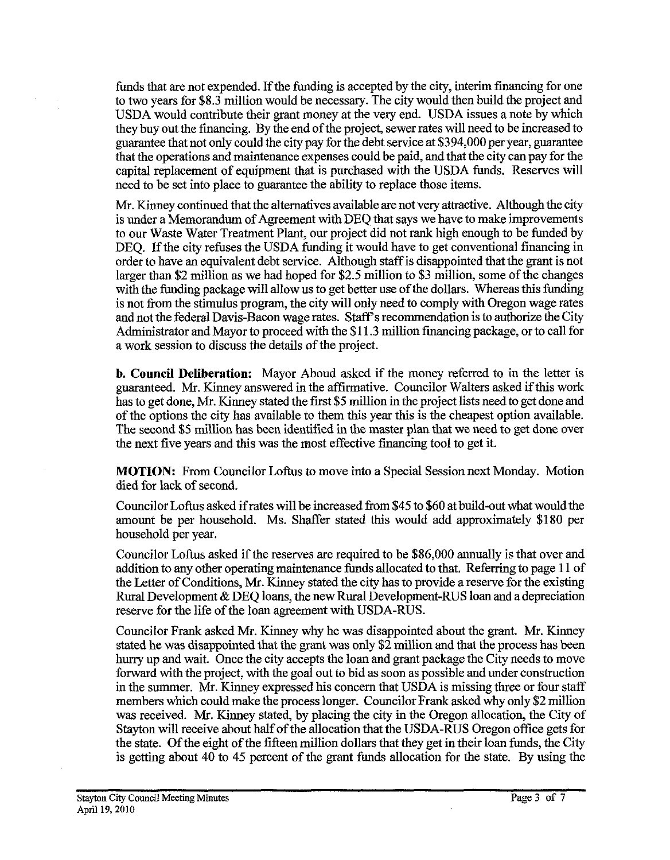funds that are not expended. If the funding is accepted by the city, interim financing for one to two years for **\$8.3** million would be necessary. The city would then build the project and USDA would contribute their grant money at the very end. USDA issues a note by which they buy out the financing. By the end of the project, sewer rates will need to be increased to guarantee that not only could the city pay for the debt service at **\$394,000** per year, guarantee that the operations and maintenance expenses could be paid, and that the city can pay for the capital replacement of equipment that is purchased with the USDA funds. Reserves will need to be set into place to guarantee the ability to replace those items.

Mr. Kinney continued that the alternatives available are not very attractive. Although the city is under a Memorandum of Agreement with DEQ that says we have to make improvements to our Waste Water Treatment Plant, our project did not rank high enough to be funded by DEQ. If the city refuses the USDA funding it would have to get conventional financing in order to have an equivalent debt service. Although staff is disappointed that the grant is not larger than \$2 million as we had hoped for **\$2.5** million to **\$3** million, some of the changes with the funding package will allow us to get better use of the dollars. Whereas this funding is not from the stimulus program, the city will only need to comply with Oregon wage rates and not the federal Davis-Bacon wage rates. Staff's recommendation is to authorize the City Administrator and Mayor to proceed with the \$1 **1.3** million financing package, or to call for a work session to discuss the details of the project.

**b. Council Deliberation:** Mayor Aboud asked if the money referred to in the letter is guaranteed. Mr. Kinney answered in the aftinnative. Councilor Walters asked if this work has to get done, Mr. Kinney stated the first \$5 million in the project lists need to get done and of the options the city has available to them this year this is the cheapest option available. The second **\$5** million has been identified in the master plan that we need to get done over the next five years and this was the most effective financing tool to get it.

MOTION: From Councilor Loftus to move into a Special Session next Monday. Motion died for lack of second.

Councilor Loftus asked if rates will be increased from **\$45** to **\$60** at build-out what would the amount be per household. Ms. Shaffer stated this would add approximately **\$180** per household per year.

Councilor Loftus asked if the reserves are required to be **\$86,000** annually is that over and addition to any other operating maintenance funds allocated to that. Refening to page **11** of the Letter of Conditions, Mr. Kinney stated the city has to provide a reserve for the existing Rural Development & DEQ loans, the new Rural Development-RUS loan and a depreciation reserve for the life of the loan agreement with USDA-RUS.

Councilor Frank asked Mr. Kinney why he was disappointed about the grant. Mr. Kinney stated he was disappointed that the grant was only **\$2** million and that the process has been hurry up and wait. Once the city accepts the loan and grant package the City needs to move fonvard with the project, with the goal out to bid as soon as possible and under construction in the summer. Mr. Kinney expressed his concern that USDA is missing three or four staff members which could make the process longer. Councilor Frank asked why only **\$2** million was received. Mr. Kinney stated, by placing the city in the Oregon allocation, the City of Stayton will receive about half of the allocation that the USDA-RUS Oregon office gets for the state. Of the eight of the fifteen million dollars that they get in their loan funds, the City is getting about **40** to **45** percent of the grant funds allocation for the state. By using the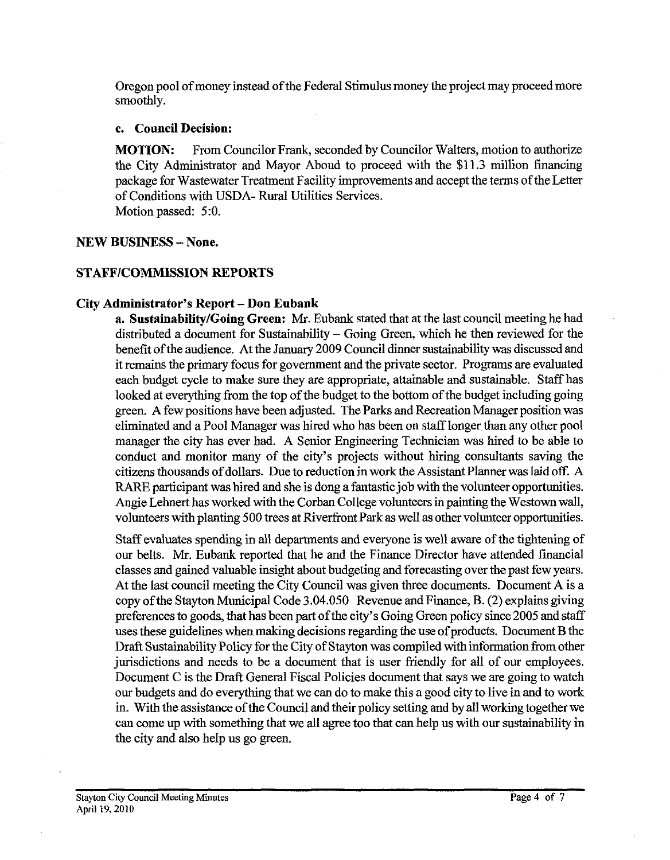Oregon pool of money instead of the Federal Stimulus money the project may proceed more smoothly.

## c. Council Decision:

MOTION: From Councilor Frank, seconded by Councilor Walters, motion to authorize the City Administrator and Mayor Aboud to proceed with the \$11.3 million financing package for Wastewater Treatment Facility improvements and accept the terms of the Letter of Conditions with USDA- Rural Utilities Services.

Motion passed: **5:O.** 

## NEW BUSINESS - None.

# STAFF/COMMISSION REPORTS

# City Administrator's Report - Don Eubank

a. Sustainability/Going Green: Mr. Eubank stated that at the last council meeting he had distributed a document for Sustainability – Going Green, which he then reviewed for the benefit of the audience. At the January **2009** Council dinner sustainability was discussed and it remains the primary focus for government and the private sector. Programs are evaluated each budget cycle to make sure they are appropriate, attainable and sustainable. Staff has looked at everything from the top of the budget to the bottom of the budget including going green. A few positions have been adjusted. The Parks and Recreation Manager position was eliminated and a Pool Manager was hired who has been on staff longer than any other pool manager the city has ever had. A Senior Engineering Technician was hired to be able to conduct and monitor many of the city's projects without hiring consultants saving the citizens thousands of dollars. Due to reduction in work the Assistant Planner was laid off. A RARE participant was hired and she is dong a fantastic job with the volunteer opportunities. Angie Lehnert has worked with the Corban College volunteers in painting the Westown wall, volunteers with planting 500 trees at Riverfront Park as well as other volunteer opportunities.

Staff evaluates spending in all departments and everyone is well aware of the tightening of our belts. Mr. Eubank reported that he and the Finance Director have attended financial classes and gained valuable insight about budgeting and forecasting over the past few years. At the last council meeting the City Council was given three documents. Document A is a copy of the Stayton Municipal Code **3.04.050** Revenue and Finance, B. (2) explains giving preferences to goods, that has been part of the cify's Going Green policy since **2005** and staff uses these guidelines when making decisions regarding the use of products. Document B the Draft Sustainability Policy for the City of Stayton was compiled with information from other jurisdictions and needs to be a document that is user friendly for all of our employees. Document C is the Draft General Fiscal Policies document that says we are going to watch our budgets and do everything that we can do to make this a good city to live in and to work in. With the assistance of the Council and their policy setting and by all working together we can come up with something that we all agree too that can help us with our sustainability in the city and also help us go green.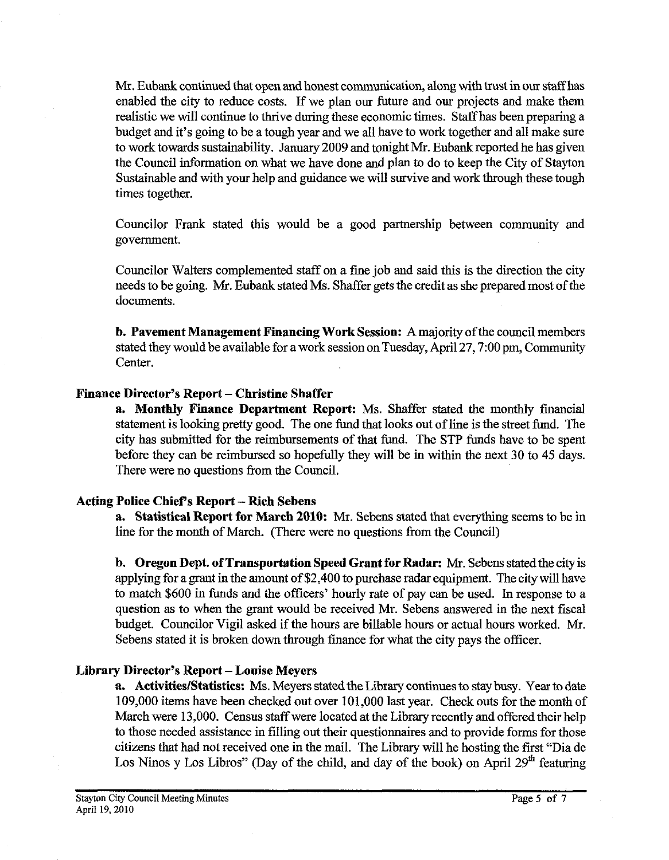Mr. Eubank continued that open and honest communication, along with trust in our staff **has**  enabled the city to reduce costs. If we plan our future and our projects and make them realistic we will continue to thrive during these economic times. Staff has been preparing a budget and it's going to be a tough year and we all have to work together and all make sure to work towards sustainability. January 2009 and tonight Mr. Eubank reported he has given the Council information on what we have done and plan to do to keep the City of Stayton Sustainable and with your help and guidance we will survive and work through these tough times together.

Councilor Frank stated this would be a good partnership between community and government.

Councilor Walters complemented staff on a fine job and said this is the direction the city needs to be going. Mr. Eubank stated Ms. Shaffer gets the credit as she prepared most of the documents.

**b. Pavement Management Financing Work Session: A** majority of the council members stated they would be available for a work session on Tuesday, April 27,7:00 pm, Community Center.

### **Finance Director's Report - Christine Shaffer**

**a. Monthly Fiance Department Report:** Ms. Shaffer stated the monthly financial statement is looking pretty good. The one fund that looks out of line is the street fund. The city has submitted for the reimbursements of that fund. The STP funds have to be spent before they can be reimbursed so hopefully they will be in within the next 30 to 45 days. There were no questions from the Council.

## **Acting Police Chiefs Report** - **Rich Sebens**

**a. Statistical Report for March 2010: Mr.** Sebens stated that everything seems to be in line for the month of March. (There were no questions from the Council)

**b. Oregon Dept. of Transportation Speed Grant for Radar:** Mr. Sebens stated the city is applying for a grant in the amount of \$2,400 to purchase radar equipment. The city will have to match \$600 in funds and the officers' hourly rate of pay can be used. In response to a question as to when the grant would be received Mr. Sebens answered in the next fiscal budget. Councilor Vigil asked if the hours are billable hours or actual hours worked. Mr. Sebens stated it is broken down through finance for what the city pays the officer.

## **Library Director's Report** - **Louise Meyers**

**a.** Activities/Statistics: Ms. Meyers stated the Library continues to stay busy. Year to date 109,000 items have been checked out over 101,000 last year. Check outs for the month of March were 13,000. Census staff were located at the Library recently and offered their help to those needed assistance in filling out their questionnaires and to provide forms for those citizens that had not received one in the mail. The Library will he hosting the first "Dia de Los Ninos y Los Libros" (Day of the child, and day of the book) on April 29<sup>th</sup> featuring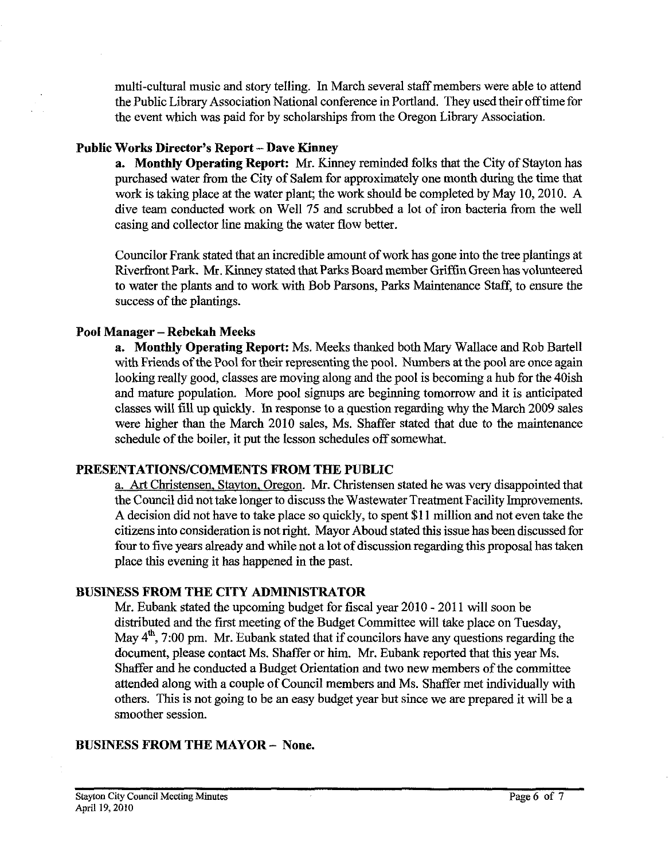multi-cultural music and story telling. In March several staff members were able to attend the Public Library Association National conference in Portland. They used their off time for the event which was paid for by scholarships from the Oregon Library Association.

# Public Works Director's Report - Dave Kinney

**a. Monthly Operating Report: Mr.** Kinney reminded folks that the City of Stayton has purchased water from the City of Salem for approximately one month during the time that work is taking place at the water plant; the work should be completed by May 10,2010. A dive team conducted work on Well 75 and scrubbed a lot of iron bacteria from the well casing and collector line making the water flow better.

Councilor Frank stated that an incredible amount of work has gone into the tree plantings at Riverfront Park. Mr. Kinney stated that Parks Board member Griffin Green has volunteered to water the plants and to work with Bob Parsons, Parks Maintenance Staff, to ensure the success of the plantings.

# **Pool Manager** - **Rebekah Meeks**

**a. Monthly Operating Report:** Ms. Meeks thanked both Mary Wallace and Rob Bartell with Friends of the Pool for their representing the pool. Numbers at the pool are once again looking really good, classes are moving along and the pool is becoming a hub for the 40ish and mature population. More pool signups are beginning tomorrow and it is anticipated classes will fill up quickly. In response to a question regard'mg why the March 2009 sales were higher than the March 2010 sales, Ms. Shaffer stated that due to the maintenance schedule of the boiler, it put the lesson schedules off somewhat.

# **PRESENTATIONS/COMMENTS FROM THE PUBLIC**

a. Art Christensen, Stavton. Oregon. Mr. Christensen stated he was very disappointed that the Council did not take longer to discuss the Wastewater Treatment Facility Improvements. A decision did not have to take place so quickly, to spent \$1 1 million and not even take the citizens into consideration is not right. Mayor Aboud stated this issue has been discussed for four to five years already and while not a lot of discussion regarding this proposal has taken place this evening it has happened in the past.

# **BUSINESS PROM THE CITY ADMINISTRATOR**

Mr. Eubank stated the upcoming budget for fiscal year 2010 - 2011 will soon be distributed and the first meeting of the Budget Committee will take place on Tuesday, May  $4^{\text{th}}$ , 7:00 pm. Mr. Eubank stated that if councilors have any questions regarding the document, please contact Ms. Shaffer or him. Mr. Eubank reported that this year Ms. Shaffer and he conducted a Budget Orientation and two new members of the committee attended along with a couple of Council members and Ms. Shaffer met individually with others. This is not going to be an easy budget year but since we are prepared it will be a smoother session.

# **BUSINESS FROM THE MAYOR** - **None.**